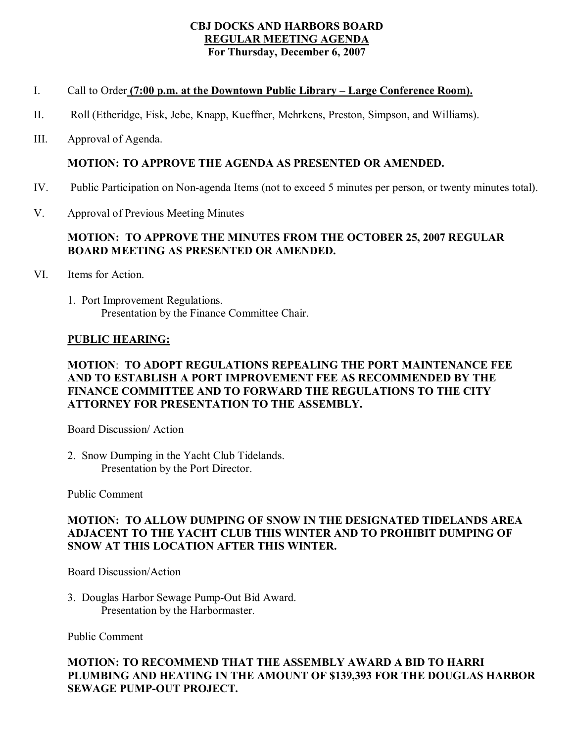### **CBJ DOCKS AND HARBORS BOARD REGULAR MEETING AGENDA For Thursday, December 6, 2007**

# I. Call to Order **(7:00 p.m. at the Downtown Public Library – Large Conference Room).**

- II. Roll (Etheridge, Fisk, Jebe, Knapp, Kueffner, Mehrkens, Preston, Simpson, and Williams).
- III. Approval of Agenda.

# **MOTION: TO APPROVE THE AGENDA AS PRESENTED OR AMENDED.**

- IV. Public Participation on Non-agenda Items (not to exceed 5 minutes per person, or twenty minutes total).
- V. Approval of Previous Meeting Minutes

# **MOTION: TO APPROVE THE MINUTES FROM THE OCTOBER 25, 2007 REGULAR BOARD MEETING AS PRESENTED OR AMENDED.**

- VI. Items for Action.
	- 1. Port Improvement Regulations. Presentation by the Finance Committee Chair.

## **PUBLIC HEARING:**

# **MOTION**: **TO ADOPT REGULATIONS REPEALING THE PORT MAINTENANCE FEE AND TO ESTABLISH A PORT IMPROVEMENT FEE AS RECOMMENDED BY THE FINANCE COMMITTEE AND TO FORWARD THE REGULATIONS TO THE CITY ATTORNEY FOR PRESENTATION TO THE ASSEMBLY.**

Board Discussion/ Action

2. Snow Dumping in the Yacht Club Tidelands. Presentation by the Port Director.

Public Comment

# **MOTION: TO ALLOW DUMPING OF SNOW IN THE DESIGNATED TIDELANDS AREA ADJACENT TO THE YACHT CLUB THIS WINTER AND TO PROHIBIT DUMPING OF SNOW AT THIS LOCATION AFTER THIS WINTER.**

Board Discussion/Action

3. Douglas Harbor Sewage Pump-Out Bid Award. Presentation by the Harbormaster.

Public Comment

## **MOTION: TO RECOMMEND THAT THE ASSEMBLY AWARD A BID TO HARRI PLUMBING AND HEATING IN THE AMOUNT OF \$139,393 FOR THE DOUGLAS HARBOR SEWAGE PUMP-OUT PROJECT.**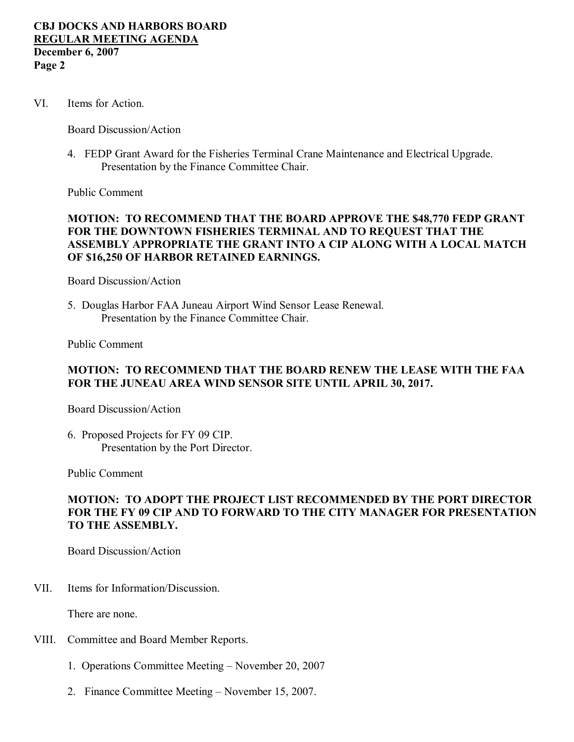VI. Items for Action.

Board Discussion/Action

4. FEDP Grant Award for the Fisheries Terminal Crane Maintenance and Electrical Upgrade. Presentation by the Finance Committee Chair.

Public Comment

## **MOTION: TO RECOMMEND THAT THE BOARD APPROVE THE \$48,770 FEDP GRANT FOR THE DOWNTOWN FISHERIES TERMINAL AND TO REQUEST THAT THE ASSEMBLY APPROPRIATE THE GRANT INTO A CIP ALONG WITH A LOCAL MATCH OF \$16,250 OF HARBOR RETAINED EARNINGS.**

Board Discussion/Action

5. Douglas Harbor FAA Juneau Airport Wind Sensor Lease Renewal. Presentation by the Finance Committee Chair.

Public Comment

#### **MOTION: TO RECOMMEND THAT THE BOARD RENEW THE LEASE WITH THE FAA FOR THE JUNEAU AREA WIND SENSOR SITE UNTIL APRIL 30, 2017.**

Board Discussion/Action

6. Proposed Projects for FY 09 CIP. Presentation by the Port Director.

Public Comment

### **MOTION: TO ADOPT THE PROJECT LIST RECOMMENDED BY THE PORT DIRECTOR FOR THE FY 09 CIP AND TO FORWARD TO THE CITY MANAGER FOR PRESENTATION TO THE ASSEMBLY.**

Board Discussion/Action

VII. Items for Information/Discussion.

There are none.

- VIII. Committee and Board Member Reports.
	- 1. Operations Committee Meeting November 20, 2007
	- 2. Finance Committee Meeting November 15, 2007.